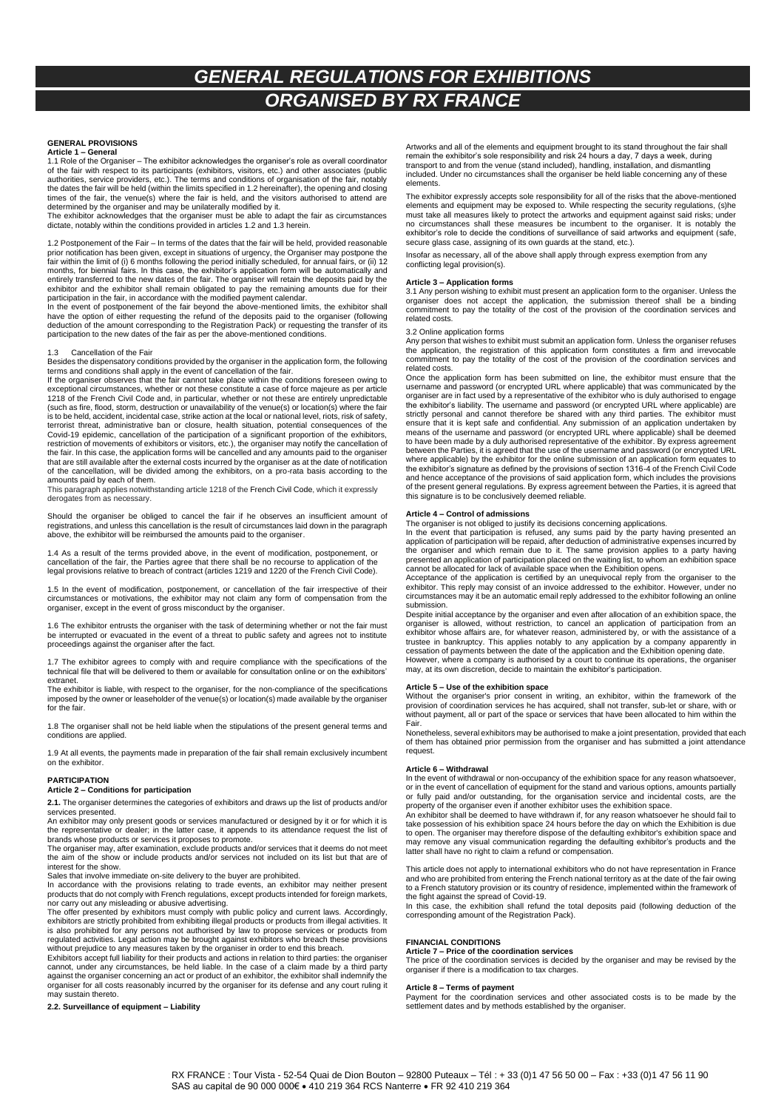# *GENERAL REGULATIONS FOR EXHIBITIONS ORGANISED BY RX FRANCE*

### **GENERAL PROVISIONS**

**Article 1 – General** 1.1 Role of the Organiser – The exhibitor acknowledges the organiser's role as overall coordinator<br>of the fair with respect to its participants (exhibitors, visitors, etc.) and other associates (public<br>authorities, service times of the fair, the venue(s) where the fair is held, and the visitors authorised to attend are<br>determined by the organiser and may be unilaterally modified by it.<br>The exhibitor acknowledges that the organiser must be ab

dictate, notably within the conditions provided in articles 1.2 and 1.3 herein.

1.2 Postponement of the Fair – In terms of the dates that the fair will be held, provided reasonable<br>prior notification has been given, except in situations of urgency, the Organiser may postpone the<br>fair within the limit months, for biennial fairs. In this case, the exhibitor's application form will be automatically and entirely transferred to the new dates of the fair. The organiser will retain the deposits paid by the exhibitor and the exhibitor shall remain obligated to pay the remaining amounts due for their

participation in the fair, in accordance with the modified payment calendar. In the event of postponement of the fair beyond the above-mentioned limits, the exhibitor shall have the option of either requesting the refund of the deposits paid to the organiser (following deduction of the amount corresponding to the Registration Pack) or requesting the transfer of its participation to the new dates of the fair as per the above-mentioned conditions.

### 1.3 Cancellation of the Fair

Besides the dispensatory conditions provided by the organiser in the application form, the following

terms and conditions shall apply in the event of cancellation of the fair.<br>If the organiser observes that the fair cannot take place within the conditions foreseen owing to<br>exceptional circumstances, whether or not these c 1218 of the French Civil Code and, in particular, whether or not these are entirely unpredictable (such as fire, flood, storm, destruction or unavailability of the venue(s) or location(s) where the fair is to be held, accident, incidental case, strike action at the local or national level, riots, risk of safety, terrorist threat, administrative ban or closure, health situation, potential consequences of the Covid-19 epidemic, cancellation of the participation of a significant proportion of the exhibitors, restriction of movements of exhibitors or visitors, etc.), the organiser may notify the cancellation of the fair. In this case, the application forms will be cancelled and any amounts paid to the organiser that are still available after the external costs incurred by the organiser as at the date of notification of the cancellation, will be divided among the exhibitors, on a pro-rata basis according to the amounts paid by each of them.

This paragraph applies notwithstanding article 1218 of the French Civil Code, which it expressly derogates from as necessary.

Should the organiser be obliged to cancel the fair if he observes an insufficient amount of registrations, and unless this cancellation is the result of circumstances laid down in the paragraph above, the exhibitor will be reimbursed the amounts paid to the organiser.

1.4 As a result of the terms provided above, in the event of modification, postponement, or cancellation of the fair, the Parties agree that there shall be no recourse to application of the legal provisions relative to breach of contract (articles 1219 and 1220 of the French Civil Code).

1.5 In the event of modification, postponement, or cancellation of the fair irrespective of their<br>circumstances or motivations, the exhibitor may not claim any form of compensation from the<br>organiser, except in the event o

1.6 The exhibitor entrusts the organiser with the task of determining whether or not the fair must be interrupted or evacuated in the event of a threat to public safety and agrees not to institute proceedings against the organiser after the fact.

1.7 The exhibitor agrees to comply with and require compliance with the specifications of the technical file that will be delivered to them or available for consultation online or on the exhibitors' extranet.

The exhibitor is liable, with respect to the organiser, for the non-compliance of the specifications imposed by the owner or leaseholder of the venue(s) or location(s) made available by the organiser for the fair.

1.8 The organiser shall not be held liable when the stipulations of the present general terms and conditions are applied.

1.9 At all events, the payments made in preparation of the fair shall remain exclusively incumbent on the exhibitor.

#### **PARTICIPATION**

#### **Article 2 – Conditions for participation**

**2.1.** The organiser determines the categories of exhibitors and draws up the list of products and/or services presented.

An exhibitor may only present goods or services manufactured or designed by it or for which it is the representative or dealer; in the latter case, it appends to its attendance request the list of brands whose products or services it proposes to promote.

The organiser may, after examination, exclude products and/or services that it deems do not meet of the show or include products and/or services not included on its list but that are of interest for the show.

Sales that involve immediate on-site delivery to the buyer are prohibited. In accordance with the provisions relating to trade events, an exhibitor may neither present products that do not comply with French regulations, except products intended for foreign markets,

nor carry out any misleading or abusive advertising.<br>The offer presented by exhibitors must comply with public policy and current laws. Accordingly,<br>exhibitors are strictly prohibited from exhibiting illegal products or pr is also prohibited for any persons not authorised by law to propose services or products from regulated activities. Legal action may be brought against exhibitors who breach these provisions

without prejudice to any measures taken by the organiser in order to end this breach. Exhibitors accept full liability for their products and actions in relation to third parties: the organiser cannot, under any circumstances, be held liable. In the case of a claim made by a third party against the organiser concerning an act or product of an exhibitor, the exhibitor shall indemnify the organiser for all costs reasonably incurred by the organiser for its defense and any court ruling it may sustain thereto.

## **2.2. Surveillance of equipment – Liability**

Artworks and all of the elements and equipment brought to its stand throughout the fair shall remain the exhibitor's sole responsibility and risk 24 hours a day, 7 days a week, during<br>transport to and from the venue (stand included), handling, installation, and dismantling<br>included. Under no circumstances shall the elements.

The exhibitor expressly accepts sole responsibility for all of the risks that the above-mentioned elements and equipment may be exposed to. While respecting the security regulations, (s)he must take all measures likely to protect the artworks and equipment against said risks; under no circumstances shall these measures be incumbent to the organiser. It is notably the exhibitor's role to decide the conditions of surveillance of said artworks and equipment (safe, secure glass case, assigning of its own guards at the stand, etc.).

Insofar as necessary, all of the above shall apply through express exemption from any conflicting legal provision(s).

**Article 3 – Application forms** 3.1 Any person wishing to exhibit must present an application form to the organiser. Unless the organiser does not accept the application, the submission thereof shall be a binding commitment to pay the totality of the cost of the provision of the coordination services and related costs.

3.2 Online application forms

Any person that wishes to exhibit must submit an application form. Unless the organiser refuses the application, the registration of this application form constitutes a firm and irrevocable commitment to pay the totality of the cost of the provision of the coordination services and related costs.

Once the application form has been submitted on line, the exhibitor must ensure that the username and password (or encrypted URL where applicable) that was communicated by the organiser are in fact used by a representative of the exhibitor who is duly authorised to engage the exhibitor's liability. The username and password (or encrypted URL where applicable) are strictly personal and cannot therefore be shared with any third parties. The exhibitor must ensure that it is kept safe and confidential. Any submission of an application undertaken by<br>means of the username and password (or encrypted URL where applicable) shall be deemed<br>to have been made by a duly authorised rep where applicable) by the exhibitor for the online submission of an application form equates to the exhibitor's signature as defined by the provisions of section 1316-4 of the French Civil Code and hence acceptance of the provisions of said application form, which includes the provisions of the present general regulations. By express agreement between the Parties, it is agreed that this signature is to be conclusively deemed reliable.

#### **Article 4 – Control of admissions**

The organiser is not obliged to justify its decisions concerning applications.<br>In the event that participation is refused, any sums paid by the party having presented an<br>application of participation will be repaid, after d the organiser and which remain due to it. The same provision applies to a party having presented an application of participation placed on the waiting list, to whom an exhibition space<br>cannot be allocated for lack of available space when the Exhibition opens.<br>Acceptance of the application is certified by an

exhibitor. This reply may consist of an invoice addressed to the exhibitor. However, under no circumstances may it be an automatic email reply addressed to the exhibitor following an online submission.

Despite initial acceptance by the organiser and even after allocation of an exhibition space, the organiser is allowed, without restriction, to cancel an application of participation from an exhibitor whose affairs are, for whatever reason, administered by, or with the assistance of a trustee in bankruptcy. This applies notably to any application by a company apparently in cessation of payments between the date of the application and the Exhibition opening date. However, where a company is authorised by a court to continue its operations, the organiser may, at its own discretion, decide to maintain the exhibitor's participation.

### **Article 5 – Use of the exhibition space**

Without the organiser's prior consent in writing, an exhibitor, within the framework of the<br>provision of coordination services he has acquired, shall not transfer, sub-let or share, with or<br>without payment, all or part of Fair.

Nonetheless, several exhibitors may be authorised to make a joint presentation, provided that each of them has obtained prior permission from the organiser and has submitted a joint attendance request

#### **Article 6 – Withdrawal**

In the event of withdrawal or non-occupancy of the exhibition space for any reason whatsoever, or in the event of cancellation of equipment for the stand and various options, amounts partially or fully paid and/or outstanding, for the organisation service and incidental costs, are the property of the organiser even if another exhibitor uses the exhibition space.

An exhibitor shall be deemed to have withdrawn if, for any reason whatsoever he should fail to<br>take possession of his exhibition space 24 hours before the day on which the Exhibition is due<br>to open. The organiser may there may remove any visual communication regarding the defaulting exhibitor's products and the latter shall have no right to claim a refund or compensation.

This article does not apply to international exhibitors who do not have representation in France and who are prohibited from entering the French national territory as at the date of the fair owing to a French statutory provision or its country of residence, implemented within the framework of the fight against the spread of Covid-19.

In this case, the exhibition shall refund the total deposits paid (following deduction of the corresponding amount of the Registration Pack).

#### **FINANCIAL CONDITIONS**

**Article 7 – Price of the coordination services** The price of the coordination services is decided by the organiser and may be revised by the organiser if there is a modification to tax charges.

### **Article 8 – Terms of payment**

Payment for the coordination services and other associated costs is to be made by the settlement dates and by methods established by the organiser.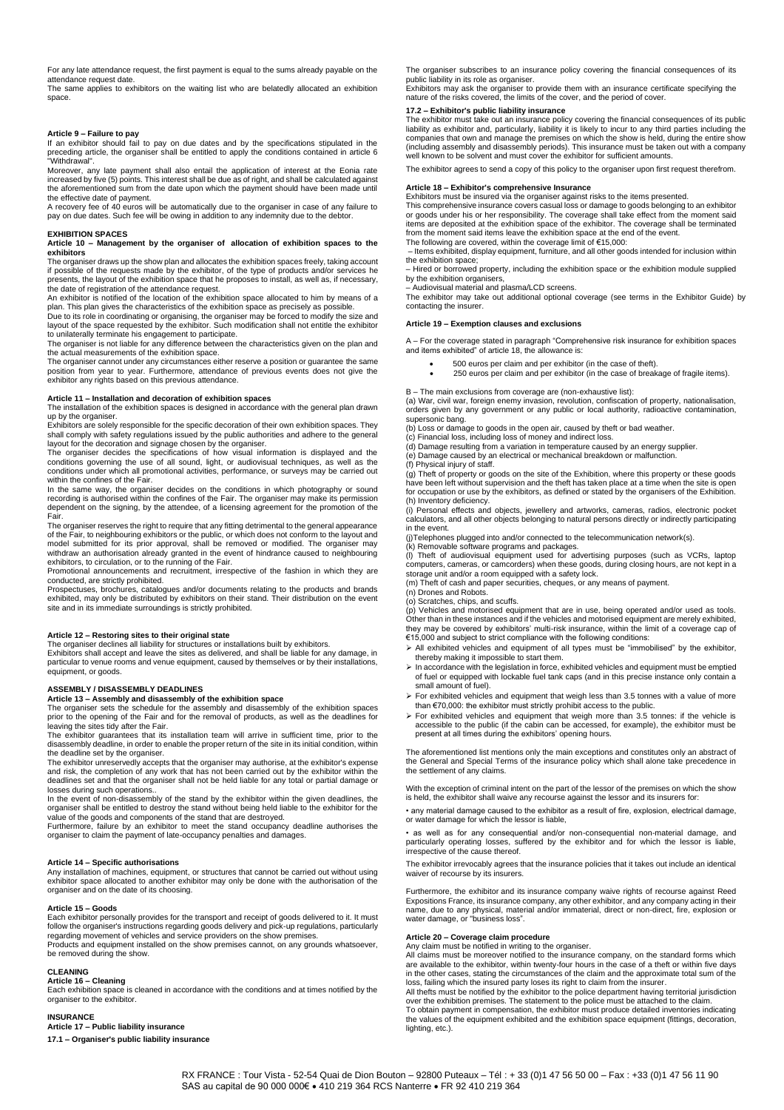For any late attendance request, the first payment is equal to the sums already payable on the attendance request date.

The same applies to exhibitors on the waiting list who are belatedly allocated an exhibition space.

### **Article 9 – Failure to pay**

If an exhibitor should fail to pay on due dates and by the specifications stipulated in the preceding article, the organiser shall be entitled to apply the conditions contained in article 6 "Withdrawal".

Moreover, any late payment shall also entail the application of interest at the Eonia rate increased by five (5) points. This interest shall be due as of right, and shall be calculated against the aforementioned sum from the date upon which the payment should have been made until

the effective date of payment. A recovery fee of 40 euros will be automatically due to the organiser in case of any failure to pay on due dates. Such fee will be owing in addition to any indemnity due to the debtor.

#### **EXHIBITION SPACES**

**Article 10 – Management by the organiser of allocation of exhibition spaces to the exhibitors**

The organiser draws up the show plan and allocates the exhibition spaces freely, taking account if possible of the requests made by the exhibitor, of the type of products and/or services he presents, the layout of the exhibition space that he proposes to install, as well as, if necessary, the date of registration of the attendance request.

An exhibitor is notified of the location of the exhibition space allocated to him by means of a plan. This plan gives the characteristics of the exhibition space as precisely as possible. Due to its role in coordinating or organising, the organiser may be forced to modify the size and

layout of the space requested by the exhibitor. Such modification shall not entitle the exhibitor

to unilaterally terminate his engagement to participate.<br>The organiser is not liable for any difference between the characteristics given on the plan and<br>the actual measurements of the exhibition space.

The organiser cannot under any circumstances either reserve a position or guarantee the same position from year to year. Furthermore, attendance of previous events does not give the exhibitor any rights based on this previous attendance.

### **Article 11 – Installation and decoration of exhibition spaces**

The installation of the exhibition spaces is designed in accordance with the general plan drawn up by the organiser. Exhibitors are solely responsible for the specific decoration of their own exhibition spaces. They

shall comply with safety regulations issued by the public authorities and adhere to the general layout for the decoration and signage chosen by the organiser.

The organiser decides the specifications of how visual information is displayed and the conditions governing the use of all sound, light, or audiovisual techniques, as well as the conditions under which all promotional activities, performance, or surveys may be carried out within the confines of the Fair.

In the same way, the organiser decides on the conditions in which photography or sound<br>recording is authorised within the confines of the Fair. The organiser may make its permission<br>dependent on the signing, by the attende Fair.

The organiser reserves the right to require that any fitting detrimental to the general appearance of the Fair, to neighbouring exhibitors or the public, or which does not conform to the layout and model submitted for its prior approval, shall be removed or modified. The organiser may model withdraw an authorisation already granted in the event of hindrance caused to neighbouring exhibitors, to circulation, or to the running of the Fair.

Promotional announcements and recruitment, irrespective of the fashion in which they are conducted, are strictly prohibited.

Prospectuses, brochures, catalogues and/or documents relating to the products and brands<br>exhibited, may only be distributed by exhibitors on their stand. Their distribution on the event<br>site and in its immediate surroundin

**Article 12 – Restoring sites to their original state** The organiser declines all liability for structures or installations built by exhibitors. Exhibitors shall accept and leave the sites as delivered, and shall be liable for any damage, in particular to venue rooms and venue equipment, caused by themselves or by their installations, equipment, or goods.

#### **ASSEMBLY / DISASSEMBLY DEADLINES**

**Article 13 – Assembly and disassembly of the exhibition space** The organiser sets the schedule for the assembly and disassembly of the exhibition spaces prior to the opening of the Fair and for the removal of products, as well as the deadlines for leaving the sites tidy after the Fair.

The exhibitor guarantees that its installation team will arrive in sufficient time, prior to the disassembly deadline, in order to enable the proper return of the site in its initial condition, within the deadline set by the organiser.

The exhibitor unreservedly accepts that the organiser may authorise, at the exhibitor's expense and risk, the completion of any work that has not been carried out by the exhibitor within the deadlines set and that the organiser shall not be held liable for any total or partial damage or losses during such operations..

In the event of non-disassembly of the stand by the exhibitor within the given deadlines, the organiser shall be entitled to destroy the stand without being held liable to the exhibitor for the<br>value of the goods and components of the stand that are destroyed.<br>Furthermore, failure by an exhibitor to meet the stand

organiser to claim the payment of late-occupancy penalties and damages.

### **Article 14 – Specific authorisations**

Any installation of machines, equipment, or structures that cannot be carried out without using exhibitor space allocated to another exhibitor may only be done with the authorisation of the organiser and on the date of its choosing.

#### **Article 15 – Goods**

Each exhibitor personally provides for the transport and receipt of goods delivered to it. It must follow the organiser's instructions regarding goods delivery and pick-up regulations, particularly regarding movement of vehicles and service providers on the show premises. Products and equipment installed on the show premises cannot, on any grounds whatsoever, be removed during the show.

#### **CLEANING**

**Article 16 – Cleaning**<br>Each exhibition space is cleaned in accordance with the conditions and at times notified by the<br>organiser to the exhibitor.

#### **INSURANCE**

**Article 17 – Public liability insurance 17.1 – Organiser's public liability insurance** The organiser subscribes to an insurance policy covering the financial consequences of its public liability in its role as organiser. Exhibitors may ask the organiser to provide them with an insurance certificate specifying the

nature of the risks covered, the limits of the cover, and the period of cover.

### **17.2 – Exhibitor's public liability insurance**

The exhibitor must take out an insurance policy covering the financial consequences of its public<br>liability as exhibitor and, particularly, liability it is likely to incur to any third parties including the<br>companies that (including assembly and disassembly periods). This insurance must be taken out with a company well known to be solvent and must cover the exhibitor for sufficient amounts.

The exhibitor agrees to send a copy of this policy to the organiser upon first request therefrom.

#### **Article 18 – Exhibitor's comprehensive Insurance**

Exhibitors must be insured via the organiser against risks to the items presented. This comprehensive insurance covers casual loss or damage to goods belonging to an exhibitor or goods under his or her responsibility. The coverage shall take effect from the moment said items are deposited at the exhibition space of the exhibitor. The coverage shall be terminated from the moment said items leave the exhibition space at the end of the event.

The following are covered, within the coverage limit of €15,000: – Items exhibited, display equipment, furniture, and all other goods intended for inclusion within

the exhibition space; – Hired or borrowed property, including the exhibition space or the exhibition module supplied

by the exhibition organisers,<br>– Audiovisual material and plasma/LCD screens.<br>The exhibitor may take out additional optional coverage (see terms in the Exhibitor Guide) by contacting the insurer.

#### **Article 19 – Exemption clauses and exclusions**

A – For the coverage stated in paragraph "Comprehensive risk insurance for exhibition spaces and items exhibited" of article 18, the allowance is:

- 500 euros per claim and per exhibitor (in the case of theft).
- 250 euros per claim and per exhibitor (in the case of breakage of fragile items).
- B The main exclusions from coverage are (non-exhaustive list):

(a) War, civil war, foreign enemy invasion, revolution, confiscation of property, nationalisation, orders given by any government or any public or local authority, radioactive contamination, supersonic bang.

(b) Loss or damage to goods in the open air, caused by theft or bad weather. (c) Financial loss, including loss of money and indirect loss.

(d) Damage resulting from a variation in temperature caused by an energy supplier. (e) Damage caused by an electrical or mechanical breakdown or malfunction.

(f) Physical injury of staff. (g) Theft of property or goods on the site of the Exhibition, where this property or these goods have been left without supervision and the theft has taken place at a time when the site is open for occupation or use by the exhibitors, as defined or stated by the organisers of the Exhibition. (h) Inventory deficiency.

(i) Personal effects and objects, jewellery and artworks, cameras, radios, electronic pocket calculators, and all other objects belonging to natural persons directly or indirectly participating in the event.

(j)Telephones plugged into and/or connected to the telecommunication network(s).

(k) Removable software programs and packages.

(I) Theft of audiovisual equipment used for advertising purposes (such as VCRs, laptop<br>computers, cameras, or camcorders) when these goods, during closing hours, are not kept in a<br>storage unit and/or a room equipped with a

(m) Theft of cash and paper securities, cheques, or any means of payment. (n) Drones and Robots.

(o) Scratches, chips, and scuffs.<br>(p) Vehicles and motorised equipment that are in use, being operated and/or used as tools.<br>Other than in these instances and if the vehicles and motorised equipment are merely exhibited, they may be covered by exhibitors' multi-risk insurance, within the limit of a coverage cap of<br>€15,000 and subject to strict compliance with the following conditions:

- ➢ All exhibited vehicles and equipment of all types must be "immobilised" by the exhibitor, thereby making it impossible to start them.
- ➢ In accordance with the legislation in force, exhibited vehicles and equipment must be emptied of fuel or equipped with lockable fuel tank caps (and in this precise instance only contain a small amount of fuel).
- ➢ For exhibited vehicles and equipment that weigh less than 3.5 tonnes with a value of more
- than €70,000: the exhibitor must strictly prohibit access to the public. ➢ For exhibited vehicles and equipment that weigh more than 3.5 tonnes: if the vehicle is accessible to the public (if the cabin can be accessed, for example), the exhibitor must be present at all times during the exhibitors' opening hours.

The aforementioned list mentions only the main exceptions and constitutes only an abstract of the General and Special Terms of the insurance policy which shall alone take precedence in the settlement of any claims.

With the exception of criminal intent on the part of the lessor of the premises on which the show is held, the exhibitor shall waive any recourse against the lessor and its insurers for:

• any material damage caused to the exhibitor as a result of fire, explosion, electrical damage, or water damage for which the lessor is liable,

• as well as for any consequential and/or non-consequential non-material damage, and particularly operating losses, suffered by the exhibitor and for which the lessor is liable, irrespective of the cause thereof.

The exhibitor irrevocably agrees that the insurance policies that it takes out include an identical waiver of recourse by its insurers.

Furthermore, the exhibitor and its insurance company waive rights of recourse against Reed Expositions France, its insurance company, any other exhibitor, and any company acting in their name, due to any physical, material and/or immaterial, direct or non-direct, fire, explosion or water damage, or "business loss".

### **Article 20 – Coverage claim procedure**

Any claim must be notified in writing to the organiser. All claims must be moreover notified to the insurance company, on the standard forms which are available to the exhibitor, within twenty-four hours in the case of a theft or within five days<br>in the other cases, stating the circumstances of the claim and the approximate total sum of the<br>loss, failing which the in

over the exhibition premises. The statement to the police must be attached to the claim. To obtain payment in compensation, the exhibitor must produce detailed inventories indicating the values of the equipment exhibited and the exhibition space equipment (fittings, decoration, lighting, etc.).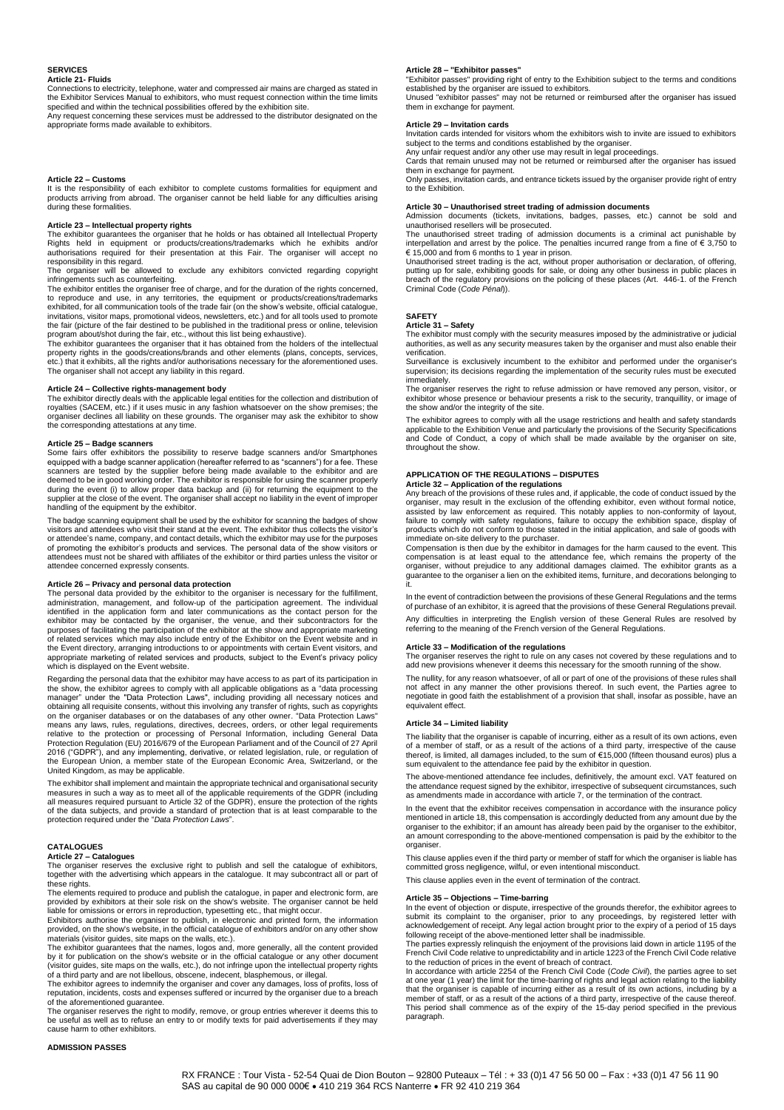### **SERVICES**

### **Article 21- Fluids**

Connections to electricity, telephone, water and compressed air mains are charged as stated in the Exhibitor Services Manual to exhibitors, who must request connection within the time limits specified and within the technical possibilities offered by the exhibition site.

Any request concerning these services must be addressed to the distributor designated on the appropriate forms made available to exhibitors.

#### **Article 22 – Customs**

It is the responsibility of each exhibitor to complete customs formalities for equipment and products arriving from abroad. The organiser cannot be held liable for any difficulties arising during these formalities.

### **Article 23 – Intellectual property rights**

The exhibitor guarantees the organiser that he holds or has obtained all Intellectual Property<br>Rights held in equipment or products/creations/trademarks which he exhibits and/or<br>authorisations required for their responsibility in this regard.

The organiser will be allowed to exclude any exhibitors convicted regarding copyright infringements such as counterfeiting. The exhibitor entitles the organiser free of charge, and for the duration of the rights concerned,

to reproduce and use, in any territories, the equipment or products/creations/trademarks exhibited, for all communication tools of the trade fair (on the show's website, official catalogue, invitations, visitor maps, promotional videos, newsletters, etc.) and for all tools used to promote the fair (picture of the fair destined to be published in the traditional press or online, television

program about/shot during the fair, etc., without this list being exhaustive).<br>The exhibitor guarantees the organiser that it has obtained from the holders of the intellectual<br>property rights in the goods/creations/brands etc.) that it exhibits, all the rights and/or authorisations necessary for the aforementioned uses. The organiser shall not accept any liability in this regard.

### **Article 24 – Collective rights-management body**

The exhibitor directly deals with the applicable legal entities for the collection and distribution of royalties (SACEM, etc.) if it uses music in any fashion whatsoever on the show premises; the organiser declines all liability on these grounds. The organiser may ask the exhibitor to show the corresponding attestations at any time.

#### **Article 25 – Badge scanners**

Some fairs offer exhibitors the possibility to reserve badge scanners and/or Smartphones equipped with a badge scanner application (hereafter referred to as "scanners") for a fee. These<br>scanners are tested by the supplier before being made available to the exhibitor and are<br>deemed to be in good working during the event (i) to allow proper data backup and (ii) for returning the equipment to the<br>supplier at the close of the event. The organiser shall accept no liability in the event of improper<br>handling of the equipment by

The badge scanning equipment shall be used by the exhibitor for scanning the badges of show visitors and attendees who visit their stand at the event. The exhibitor thus collects the visitor's or attendee's name, company, and contact details, which the exhibitor may use for the purposes of promoting the exhibitor's products and services. The personal data of the show visitors or attendees must not be shared with affiliates of the exhibitor or third parties unless the visitor or attendee concerned expressly consents.

### **Article 26 – Privacy and personal data protection**

The personal data provided by the exhibitor to the organiser is necessary for the fulfillment,<br>administration, management, and follow-up of the participation agreement. The individual<br>identified in the application form and exhibitor may be contacted by the organiser, the venue, and their subcontractors for the purposes of facilitating the participation of the exhibitor at the show and appropriate marketing<br>of related services which may also include entry of the Exhibitor on the Event website and in<br>the Event directory, arranging appropriate marketing of related services and products, subject to the Event's privacy policy which is displayed on the Event website.

Regarding the personal data that the exhibitor may have access to as part of its participation in the show, the exhibitor agrees to comply with all applicable obligations as a "data processing manager" under the "Data Protection Laws", including providing all necessary notices and obtaining all requisite consents, without this involving any transfer of rights, such as copyrights on the organiser databases or on the European Union, a member state of the European Economic Area, Switzerland, or the United Kingdom, as may be applicable.

The exhibitor shall implement and maintain the appropriate technical and organisational security<br>measures in such a way as to meet all of the applicable requirements of the GDPR (including<br>all measures required pursuant to of the data subjects, and provide a standard of protection that is at least comparable to the protection required under the "*Data Protection Laws*".

#### **CATALOGUES**

### **Article 27 – Catalogues**

The organiser reserves the exclusive right to publish and sell the catalogue of exhibitors, together with the advertising which appears in the catalogue. It may subcontract all or part of

these rights. The elements required to produce and publish the catalogue, in paper and electronic form, are provided by exhibitors at their sole risk on the show's website. The organiser cannot be held liable for omissions or errors in reproduction, typesetting etc., that might occur.

Exhibitors authorise the organiser to publish, in electronic and printed form, the information provided, on the show's website, in the official catalogue of exhibitors and/or on any other show materials (visitor guides, site maps on the walls, etc.).

The exhibitor guarantees that the names, logos and, more generally, all the content provided by it for publication on the show's website or in the official catalogue or any other document (visitor guides, site maps on the walls, etc.), do not infringe upon the intellectual property rights of a third party and are not libellous, obscene, indecent, blasphemous, or illegal.

The exhibitor agrees to indemnify the organiser and cover any damages, loss of profits, loss of reputation, incidents, costs and expenses suffered or incurred by the organiser due to a breach of the aforementioned guarantee.

The organiser reserves the right to modify, remove, or group entries wherever it deems this to be useful as well as to refuse an entry to or modify texts for paid advertisements if they may cause harm to other exhibitors.

### **Article 28 – "Exhibitor passes"**

"Exhibitor passes" providing right of entry to the Exhibition subject to the terms and conditions established by the organiser are issued to exhibitors.

Unused "exhibitor passes" may not be returned or reimbursed after the organiser has issued them in exchange for payment.

### **Article 29 – Invitation cards**

Invitation cards intended for visitors whom the exhibitors wish to invite are issued to exhibitors subject to the terms and conditions established by the organiser. Any unfair request and/or any other use may result in legal proceedings.

Cards that remain unused may not be returned or reimbursed after the organiser has issued them in exchange for payment. Only passes, invitation cards, and entrance tickets issued by the organiser provide right of entry

## to the Exhibition.

**Article 30 – Unauthorised street trading of admission documents** Admission documents (tickets, invitations, badges, passes, etc.) cannot be sold and

unauthorised resellers will be prosecuted. The unauthorised street trading of admission documents is a criminal act punishable by interpellation and arrest by the police. The penalties incurred range from a fine of € 3,750 to € 15,000 and from 6 months to 1 year in prison.

Unauthorised street trading is the act, without proper authorisation or declaration, of offering, putting up for sale, exhibiting goods for sale, or doing any other business in public places in<br>breach of the regulatory provisions on the policing of these places (Art. 446-1. of the French<br>Criminal Code (*Code Pénal*)).

### **SAFETY**

### **Article 31 – Safety**

The exhibitor must comply with the security measures imposed by the administrative or judicial authorities, as well as any security measures taken by the organiser and must also enable their verification.

Surveillance is exclusively incumbent to the exhibitor and performed under the organiser's supervision; its decisions regarding the implementation of the security rules must be executed immediately. The organiser reserves the right to refuse admission or have removed any person, visitor, or

exhibitor whose presence or behaviour presents a risk to the security, tranquillity, or image of the show and/or the integrity of the site.

The exhibitor agrees to comply with all the usage restrictions and health and safety standards applicable to the Exhibition Venue and particularly the provisions of the Security Specifications and Code of Conduct, a copy of which shall be made available by the organiser on site, throughout the show.

### **APPLICATION OF THE REGULATIONS – DISPUTES Article 32 – Application of the regulations**

Any breach of the provisions of these rules and, if applicable, the code of conduct issued by the organiser, may result in the exclusion of the offending exhibitor, even without formal notice, assisted by law enforcement as required. This notably applies to non-conformity of layout, failure to comply with safety regulations, failure to occupy the exhibition space, display of products which do not conform to those stated in the initial application, and sale of goods with immediate on-site delivery to the purchaser.

Compensation is then due by the exhibitor in damages for the harm caused to the event. This compensation is at least equal to the attendance fee, which remains the property of the organiser, without prejudice to any additional damages claimed. The exhibitor grants as a guarantee to the organiser a lien on the exhibited items, furniture, and decorations belonging to it.

In the event of contradiction between the provisions of these General Regulations and the terms of purchase of an exhibitor, it is agreed that the provisions of these General Regulations prevail.

Any difficulties in interpreting the English version of these General Rules are resolved by referring to the meaning of the French version of the General Regulations.

### **Article 33 – Modification of the regulations**

The organiser reserves the right to rule on any cases not covered by these regulations and to add new provisions whenever it deems this necessary for the smooth running of the show.

The nullity, for any reason whatsoever, of all or part of one of the provisions of these rules shall not affect in any manner the other provisions thereof. In such event, the Parties agree to negotiate in good faith the establishment of a provision that shall, insofar as possible, have an equivalent effect.

#### **Article 34 – Limited liability**

The liability that the organiser is capable of incurring, either as a result of its own actions, even of a member of staff, or as a result of the actions of a third party, irrespective of the cause<br>thereof, is limited, all damages included, to the sum of €15,000 (fifteen thousand euros) plus a sum equivalent to the attendance fee paid by the exhibitor in question.

The above-mentioned attendance fee includes, definitively, the amount excl. VAT featured on the attendance request signed by the exhibitor, irrespective of subsequent circumstances, such as amendments made in accordance with article 7, or the termination of the contract.

In the event that the exhibitor receives compensation in accordance with the insurance policy mentioned in article 18, this compensation is accordingly deducted from any amount due by the organiser to the exhibitor; if an amount has already been paid by the organiser to the exhibitor, an amount corresponding to the above-mentioned compensation is paid by the exhibitor to the organiser.

This clause applies even if the third party or member of staff for which the organiser is liable has committed gross negligence, wilful, or even intentional misconduct.

This clause applies even in the event of termination of the contract.

### **Article 35 – Objections – Time-barring**

In the event of objection or dispute, irrespective of the grounds therefor, the exhibitor agrees to submit its complaint to the organiser, prior to any proceedings, by registered letter with acknowledgement of receipt. Any legal action brought prior to the expiry of a period of 15 days following receipt of the above-mentioned letter shall be inadmissible.

The parties expressly relinquish the enjoyment of the provisions laid down in article 1195 of the<br>French Civil Code relative to unpredictability and in article 1223 of the French Civil Code relative<br>to the reduction of pri

In accordance with article 2254 of the French Civil Code (*Code Civil*), the parties agree to set<br>at one year (1 year) the limit for the time-barring of rights and legal action relating to the liability that the organiser is capable of incurring either as a result of its own actions, including by a<br>member of staff, or as a result of the actions of a third party, irrespective of the cause thereof.<br>This period shall commenc paragraph.